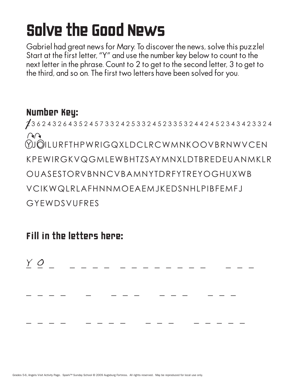# Solve the Good News

Gabriel had great news for Mary. To discover the news, solve this puzzle! Start at the first letter, "Y" and use the number key below to count to the next letter in the phrase. Count to 2 to get to the second letter, 3 to get to the third, and so on. The first two letters have been solved for you.

### Number Key:

2 3 6 2 4 3 2 6 4 3 5 2 4 5 7 3 3 2 4 2 5 3 3 2 4 5 2 3 3 5 3 2 4 4 2 4 5 2 3 4 3 4 2 3 3 2 4  $\bigcap$ YJOILURFTHPWRIGQXLDCLRCWMNKOOVBRNWVCEN KPEWIRGKVQGMLEWBHTZSAYMNXLDTBREDEUANMKLR OUASESTORVBNNCVBAMNYTDRFYTREYOGHUXWB VCIKWQLRLAFHNNMOEAEMJKEDSNHLPIBFEMFJ GYEWDSVUFRES

Fill in the letters here:

 $\underline{Y}$   $\underline{O}$  \_ \_ \_ \_ \_ \_ \_ \_ \_ \_ \_ \_ \_ \_ \_ \_ \_ \_ \_ \_ \_ \_ \_ \_ \_ \_ \_ \_ \_ \_ \_ \_ \_ \_ \_ \_ \_ \_ \_ \_ \_ \_ \_ \_ \_ \_ \_ \_ \_ \_ \_ Y O